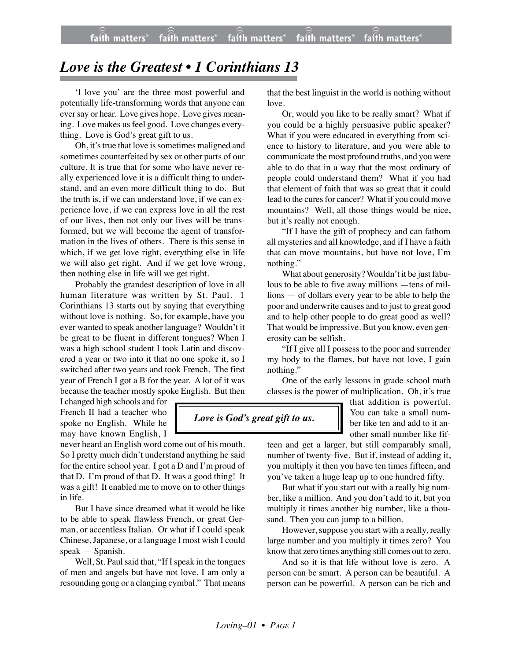## *Love is the Greatest • 1 Corinthians 13*

'I love you' are the three most powerful and potentially life-transforming words that anyone can ever say or hear. Love gives hope. Love gives meaning. Love makes us feel good. Love changes everything. Love is God's great gift to us.

Oh, it's true that love is sometimes maligned and sometimes counterfeited by sex or other parts of our culture. It is true that for some who have never really experienced love it is a difficult thing to understand, and an even more difficult thing to do. But the truth is, if we can understand love, if we can experience love, if we can express love in all the rest of our lives, then not only our lives will be transformed, but we will become the agent of transformation in the lives of others. There is this sense in which, if we get love right, everything else in life we will also get right. And if we get love wrong, then nothing else in life will we get right.

Probably the grandest description of love in all human literature was written by St. Paul. 1 Corinthians 13 starts out by saying that everything without love is nothing. So, for example, have you ever wanted to speak another language? Wouldn't it be great to be fluent in different tongues? When I was a high school student I took Latin and discovered a year or two into it that no one spoke it, so I switched after two years and took French. The first year of French I got a B for the year. A lot of it was because the teacher mostly spoke English. But then

I changed high schools and for French II had a teacher who spoke no English. While he may have known English, I

never heard an English word come out of his mouth. So I pretty much didn't understand anything he said for the entire school year. I got a D and I'm proud of that D. I'm proud of that D. It was a good thing! It was a gift! It enabled me to move on to other things in life.

But I have since dreamed what it would be like to be able to speak flawless French, or great German, or accentless Italian. Or what if I could speak Chinese, Japanese, or a language I most wish I could speak — Spanish.

Well, St. Paul said that, "If I speak in the tongues of men and angels but have not love, I am only a resounding gong or a clanging cymbal." That means that the best linguist in the world is nothing without love.

Or, would you like to be really smart? What if you could be a highly persuasive public speaker? What if you were educated in everything from science to history to literature, and you were able to communicate the most profound truths, and you were able to do that in a way that the most ordinary of people could understand them? What if you had that element of faith that was so great that it could lead to the cures for cancer? What if you could move mountains? Well, all those things would be nice, but it's really not enough.

"If I have the gift of prophecy and can fathom all mysteries and all knowledge, and if I have a faith that can move mountains, but have not love, I'm nothing."

What about generosity? Wouldn't it be just fabulous to be able to five away millions —tens of millions — of dollars every year to be able to help the poor and underwrite causes and to just to great good and to help other people to do great good as well? That would be impressive. But you know, even generosity can be selfish.

"If I give all I possess to the poor and surrender my body to the flames, but have not love, I gain nothing."

One of the early lessons in grade school math classes is the power of multiplication. Oh, it's true

 *Love is God's great gift to us.*

that addition is powerful. You can take a small number like ten and add to it another small number like fif-

teen and get a larger, but still comparably small, number of twenty-five. But if, instead of adding it, you multiply it then you have ten times fifteen, and you've taken a huge leap up to one hundred fifty.

But what if you start out with a really big number, like a million. And you don't add to it, but you multiply it times another big number, like a thousand. Then you can jump to a billion.

However, suppose you start with a really, really large number and you multiply it times zero? You know that zero times anything still comes out to zero.

And so it is that life without love is zero. A person can be smart. A person can be beautiful. A person can be powerful. A person can be rich and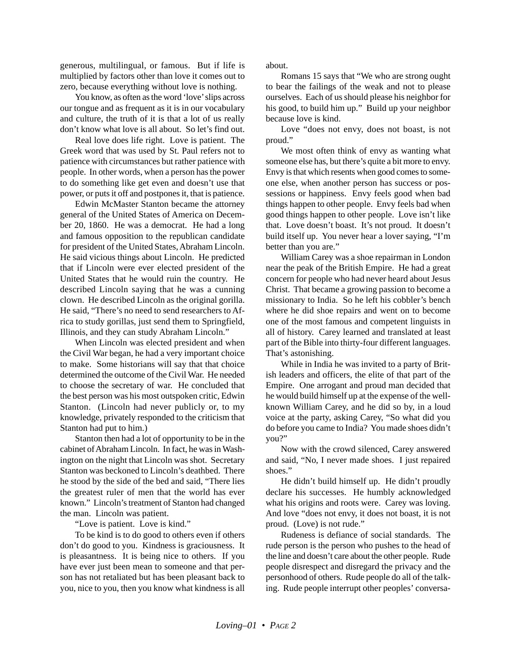generous, multilingual, or famous. But if life is multiplied by factors other than love it comes out to zero, because everything without love is nothing.

You know, as often as the word 'love' slips across our tongue and as frequent as it is in our vocabulary and culture, the truth of it is that a lot of us really don't know what love is all about. So let's find out.

Real love does life right. Love is patient. The Greek word that was used by St. Paul refers not to patience with circumstances but rather patience with people. In other words, when a person has the power to do something like get even and doesn't use that power, or puts it off and postpones it, that is patience.

Edwin McMaster Stanton became the attorney general of the United States of America on December 20, 1860. He was a democrat. He had a long and famous opposition to the republican candidate for president of the United States, Abraham Lincoln. He said vicious things about Lincoln. He predicted that if Lincoln were ever elected president of the United States that he would ruin the country. He described Lincoln saying that he was a cunning clown. He described Lincoln as the original gorilla. He said, "There's no need to send researchers to Africa to study gorillas, just send them to Springfield, Illinois, and they can study Abraham Lincoln."

When Lincoln was elected president and when the Civil War began, he had a very important choice to make. Some historians will say that that choice determined the outcome of the Civil War. He needed to choose the secretary of war. He concluded that the best person was his most outspoken critic, Edwin Stanton. (Lincoln had never publicly or, to my knowledge, privately responded to the criticism that Stanton had put to him.)

Stanton then had a lot of opportunity to be in the cabinet of Abraham Lincoln. In fact, he was in Washington on the night that Lincoln was shot. Secretary Stanton was beckoned to Lincoln's deathbed. There he stood by the side of the bed and said, "There lies the greatest ruler of men that the world has ever known." Lincoln's treatment of Stanton had changed the man. Lincoln was patient.

"Love is patient. Love is kind."

To be kind is to do good to others even if others don't do good to you. Kindness is graciousness. It is pleasantness. It is being nice to others. If you have ever just been mean to someone and that person has not retaliated but has been pleasant back to you, nice to you, then you know what kindness is all about.

Romans 15 says that "We who are strong ought to bear the failings of the weak and not to please ourselves. Each of us should please his neighbor for his good, to build him up." Build up your neighbor because love is kind.

Love "does not envy, does not boast, is not proud."

We most often think of envy as wanting what someone else has, but there's quite a bit more to envy. Envy is that which resents when good comes to someone else, when another person has success or possessions or happiness. Envy feels good when bad things happen to other people. Envy feels bad when good things happen to other people. Love isn't like that. Love doesn't boast. It's not proud. It doesn't build itself up. You never hear a lover saying, "I'm better than you are."

William Carey was a shoe repairman in London near the peak of the British Empire. He had a great concern for people who had never heard about Jesus Christ. That became a growing passion to become a missionary to India. So he left his cobbler's bench where he did shoe repairs and went on to become one of the most famous and competent linguists in all of history. Carey learned and translated at least part of the Bible into thirty-four different languages. That's astonishing.

While in India he was invited to a party of British leaders and officers, the elite of that part of the Empire. One arrogant and proud man decided that he would build himself up at the expense of the wellknown William Carey, and he did so by, in a loud voice at the party, asking Carey, "So what did you do before you came to India? You made shoes didn't you?"

Now with the crowd silenced, Carey answered and said, "No, I never made shoes. I just repaired shoes."

He didn't build himself up. He didn't proudly declare his successes. He humbly acknowledged what his origins and roots were. Carey was loving. And love "does not envy, it does not boast, it is not proud. (Love) is not rude."

Rudeness is defiance of social standards. The rude person is the person who pushes to the head of the line and doesn't care about the other people. Rude people disrespect and disregard the privacy and the personhood of others. Rude people do all of the talking. Rude people interrupt other peoples' conversa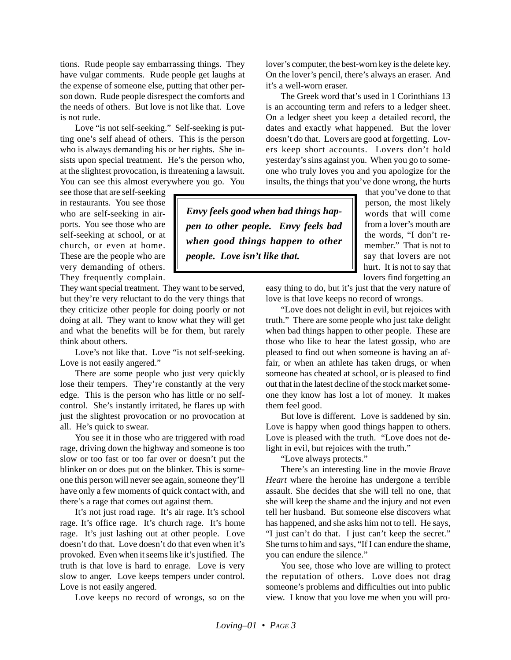tions. Rude people say embarrassing things. They have vulgar comments. Rude people get laughs at the expense of someone else, putting that other person down. Rude people disrespect the comforts and the needs of others. But love is not like that. Love is not rude.

Love "is not self-seeking." Self-seeking is putting one's self ahead of others. This is the person who is always demanding his or her rights. She insists upon special treatment. He's the person who, at the slightest provocation, is threatening a lawsuit. You can see this almost everywhere you go. You

see those that are self-seeking in restaurants. You see those who are self-seeking in airports. You see those who are self-seeking at school, or at church, or even at home. These are the people who are very demanding of others. They frequently complain.

They want special treatment. They want to be served, but they're very reluctant to do the very things that they criticize other people for doing poorly or not doing at all. They want to know what they will get and what the benefits will be for them, but rarely think about others.

Love's not like that. Love "is not self-seeking. Love is not easily angered."

There are some people who just very quickly lose their tempers. They're constantly at the very edge. This is the person who has little or no selfcontrol. She's instantly irritated, he flares up with just the slightest provocation or no provocation at all. He's quick to swear.

You see it in those who are triggered with road rage, driving down the highway and someone is too slow or too fast or too far over or doesn't put the blinker on or does put on the blinker. This is someone this person will never see again, someone they'll have only a few moments of quick contact with, and there's a rage that comes out against them.

It's not just road rage. It's air rage. It's school rage. It's office rage. It's church rage. It's home rage. It's just lashing out at other people. Love doesn't do that. Love doesn't do that even when it's provoked. Even when it seems like it's justified. The truth is that love is hard to enrage. Love is very slow to anger. Love keeps tempers under control. Love is not easily angered.

Love keeps no record of wrongs, so on the

lover's computer, the best-worn key is the delete key. On the lover's pencil, there's always an eraser. And it's a well-worn eraser.

The Greek word that's used in 1 Corinthians 13 is an accounting term and refers to a ledger sheet. On a ledger sheet you keep a detailed record, the dates and exactly what happened. But the lover doesn't do that. Lovers are good at forgetting. Lovers keep short accounts. Lovers don't hold yesterday's sins against you. When you go to someone who truly loves you and you apologize for the insults, the things that you've done wrong, the hurts

*Envy feels good when bad things happen to other people. Envy feels bad when good things happen to other people. Love isn't like that.*

that you've done to that person, the most likely words that will come from a lover's mouth are the words, "I don't remember." That is not to say that lovers are not hurt. It is not to say that lovers find forgetting an

easy thing to do, but it's just that the very nature of love is that love keeps no record of wrongs.

"Love does not delight in evil, but rejoices with truth." There are some people who just take delight when bad things happen to other people. These are those who like to hear the latest gossip, who are pleased to find out when someone is having an affair, or when an athlete has taken drugs, or when someone has cheated at school, or is pleased to find out that in the latest decline of the stock market someone they know has lost a lot of money. It makes them feel good.

But love is different. Love is saddened by sin. Love is happy when good things happen to others. Love is pleased with the truth. "Love does not delight in evil, but rejoices with the truth."

"Love always protects."

There's an interesting line in the movie *Brave Heart* where the heroine has undergone a terrible assault. She decides that she will tell no one, that she will keep the shame and the injury and not even tell her husband. But someone else discovers what has happened, and she asks him not to tell. He says, "I just can't do that. I just can't keep the secret." She turns to him and says, "If I can endure the shame, you can endure the silence."

You see, those who love are willing to protect the reputation of others. Love does not drag someone's problems and difficulties out into public view. I know that you love me when you will pro